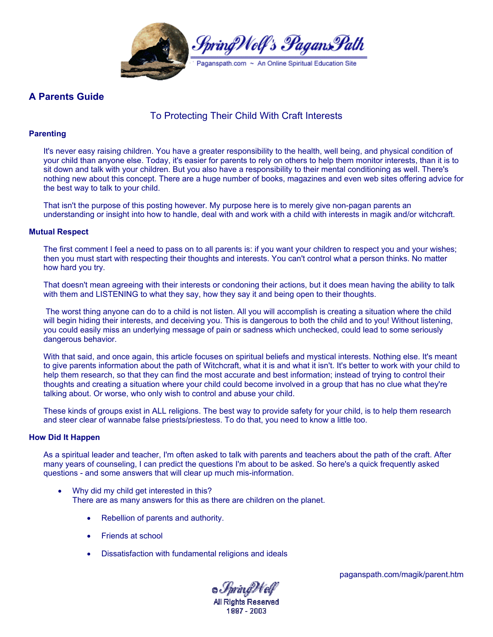

# **A Parents Guide**

# To Protecting Their Child With Craft Interests

## **Parenting**

It's never easy raising children. You have a greater responsibility to the health, well being, and physical condition of your child than anyone else. Today, it's easier for parents to rely on others to help them monitor interests, than it is to sit down and talk with your children. But you also have a responsibility to their mental conditioning as well. There's nothing new about this concept. There are a huge number of books, magazines and even web sites offering advice for the best way to talk to your child.

That isn't the purpose of this posting however. My purpose here is to merely give non-pagan parents an understanding or insight into how to handle, deal with and work with a child with interests in magik and/or witchcraft.

### **Mutual Respect**

The first comment I feel a need to pass on to all parents is: if you want your children to respect you and your wishes; then you must start with respecting their thoughts and interests. You can't control what a person thinks. No matter how hard you try.

That doesn't mean agreeing with their interests or condoning their actions, but it does mean having the ability to talk with them and LISTENING to what they say, how they say it and being open to their thoughts.

 The worst thing anyone can do to a child is not listen. All you will accomplish is creating a situation where the child will begin hiding their interests, and deceiving you. This is dangerous to both the child and to you! Without listening, you could easily miss an underlying message of pain or sadness which unchecked, could lead to some seriously dangerous behavior.

With that said, and once again, this article focuses on spiritual beliefs and mystical interests. Nothing else. It's meant to give parents information about the path of Witchcraft, what it is and what it isn't. It's better to work with your child to help them research, so that they can find the most accurate and best information; instead of trying to control their thoughts and creating a situation where your child could become involved in a group that has no clue what they're talking about. Or worse, who only wish to control and abuse your child.

These kinds of groups exist in ALL religions. The best way to provide safety for your child, is to help them research and steer clear of wannabe false priests/priestess. To do that, you need to know a little too.

#### **How Did It Happen**

As a spiritual leader and teacher, I'm often asked to talk with parents and teachers about the path of the craft. After many years of counseling, I can predict the questions I'm about to be asked. So here's a quick frequently asked questions - and some answers that will clear up much mis-information.

- Why did my child get interested in this? There are as many answers for this as there are children on the planet.
	- Rebellion of parents and authority.
	- Friends at school
	- Dissatisfaction with fundamental religions and ideals

© *Spri*n*gWo*lf **All Rights Reserved** 1997 - 2003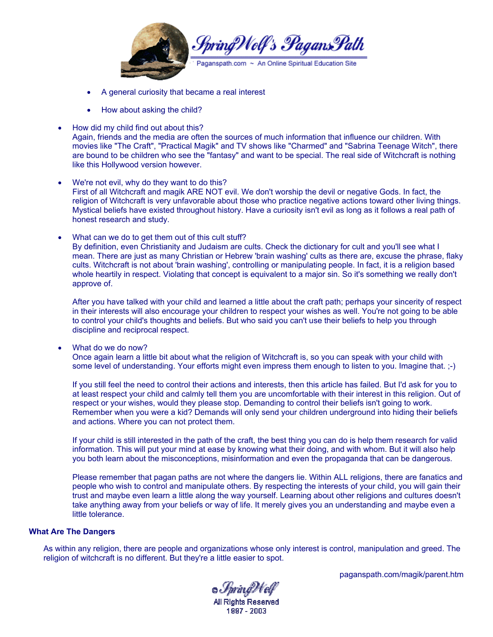

- A general curiosity that became a real interest
- How about asking the child?
- How did my child find out about this? Again, friends and the media are often the sources of much information that influence our children. With movies like "The Craft", "Practical Magik" and TV shows like "Charmed" and "Sabrina Teenage Witch", there are bound to be children who see the "fantasy" and want to be special. The real side of Witchcraft is nothing like this Hollywood version however.
- We're not evil, why do they want to do this? First of all Witchcraft and magik ARE NOT evil. We don't worship the devil or negative Gods. In fact, the religion of Witchcraft is very unfavorable about those who practice negative actions toward other living things. Mystical beliefs have existed throughout history. Have a curiosity isn't evil as long as it follows a real path of honest research and study.
- What can we do to get them out of this cult stuff? By definition, even Christianity and Judaism are cults. Check the dictionary for cult and you'll see what I mean. There are just as many Christian or Hebrew 'brain washing' cults as there are, excuse the phrase, flaky cults. Witchcraft is not about 'brain washing', controlling or manipulating people. In fact, it is a religion based whole heartily in respect. Violating that concept is equivalent to a major sin. So it's something we really don't approve of.

After you have talked with your child and learned a little about the craft path; perhaps your sincerity of respect in their interests will also encourage your children to respect your wishes as well. You're not going to be able to control your child's thoughts and beliefs. But who said you can't use their beliefs to help you through discipline and reciprocal respect.

• What do we do now?

Once again learn a little bit about what the religion of Witchcraft is, so you can speak with your child with some level of understanding. Your efforts might even impress them enough to listen to you. Imagine that. ;-)

If you still feel the need to control their actions and interests, then this article has failed. But I'd ask for you to at least respect your child and calmly tell them you are uncomfortable with their interest in this religion. Out of respect or your wishes, would they please stop. Demanding to control their beliefs isn't going to work. Remember when you were a kid? Demands will only send your children underground into hiding their beliefs and actions. Where you can not protect them.

If your child is still interested in the path of the craft, the best thing you can do is help them research for valid information. This will put your mind at ease by knowing what their doing, and with whom. But it will also help you both learn about the misconceptions, misinformation and even the propaganda that can be dangerous.

Please remember that pagan paths are not where the dangers lie. Within ALL religions, there are fanatics and people who wish to control and manipulate others. By respecting the interests of your child, you will gain their trust and maybe even learn a little along the way yourself. Learning about other religions and cultures doesn't take anything away from your beliefs or way of life. It merely gives you an understanding and maybe even a little tolerance.

### **What Are The Dangers**

As within any religion, there are people and organizations whose only interest is control, manipulation and greed. The religion of witchcraft is no different. But they're a little easier to spot.

© *Spri*ngWelf

**All Rights Reserved** 1997 - 2003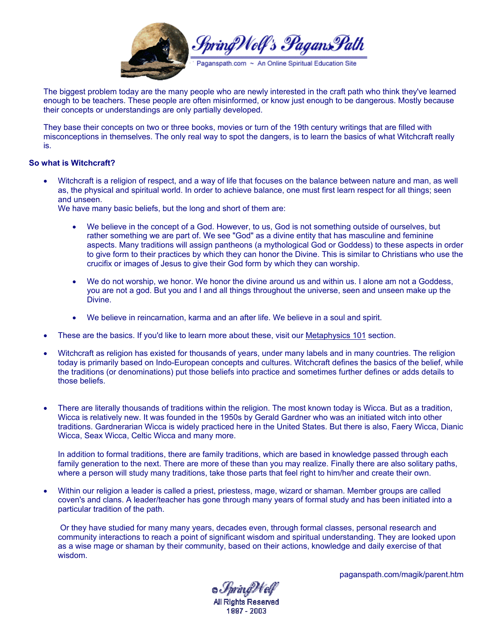

The biggest problem today are the many people who are newly interested in the craft path who think they've learned enough to be teachers. These people are often misinformed, or know just enough to be dangerous. Mostly because their concepts or understandings are only partially developed.

They base their concepts on two or three books, movies or turn of the 19th century writings that are filled with misconceptions in themselves. The only real way to spot the dangers, is to learn the basics of what Witchcraft really is.

### **So what is Witchcraft?**

• Witchcraft is a religion of respect, and a way of life that focuses on the balance between nature and man, as well as, the physical and spiritual world. In order to achieve balance, one must first learn respect for all things; seen and unseen.

We have many basic beliefs, but the long and short of them are:

- We believe in the concept of a God. However, to us, God is not something outside of ourselves, but rather something we are part of. We see "God" as a divine entity that has masculine and feminine aspects. Many traditions will assign pantheons (a mythological God or Goddess) to these aspects in order to give form to their practices by which they can honor the Divine. This is similar to Christians who use the crucifix or images of Jesus to give their God form by which they can worship.
- We do not worship, we honor. We honor the divine around us and within us. I alone am not a Goddess, you are not a god. But you and I and all things throughout the universe, seen and unseen make up the Divine.
- We believe in reincarnation, karma and an after life. We believe in a soul and spirit.
- These are the basics. If you'd like to learn more about these, visit our Metaphysics 101 section.
- Witchcraft as religion has existed for thousands of years, under many labels and in many countries. The religion today is primarily based on Indo-European concepts and cultures. Witchcraft defines the basics of the belief, while the traditions (or denominations) put those beliefs into practice and sometimes further defines or adds details to those beliefs.
- There are literally thousands of traditions within the religion. The most known today is Wicca. But as a tradition, Wicca is relatively new. It was founded in the 1950s by Gerald Gardner who was an initiated witch into other traditions. Gardnerarian Wicca is widely practiced here in the United States. But there is also, Faery Wicca, Dianic Wicca, Seax Wicca, Celtic Wicca and many more.

In addition to formal traditions, there are family traditions, which are based in knowledge passed through each family generation to the next. There are more of these than you may realize. Finally there are also solitary paths, where a person will study many traditions, take those parts that feel right to him/her and create their own.

• Within our religion a leader is called a priest, priestess, mage, wizard or shaman. Member groups are called coven's and clans. A leader/teacher has gone through many years of formal study and has been initiated into a particular tradition of the path.

 Or they have studied for many many years, decades even, through formal classes, personal research and community interactions to reach a point of significant wisdom and spiritual understanding. They are looked upon as a wise mage or shaman by their community, based on their actions, knowledge and daily exercise of that wisdom.

© *Spri*n*gWo*lf

**All Rights Reserved** 1997 - 2003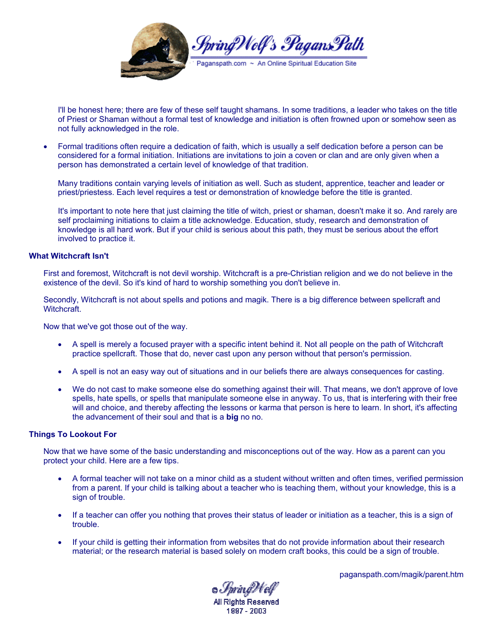

I'll be honest here; there are few of these self taught shamans. In some traditions, a leader who takes on the title of Priest or Shaman without a formal test of knowledge and initiation is often frowned upon or somehow seen as not fully acknowledged in the role.

• Formal traditions often require a dedication of faith, which is usually a self dedication before a person can be considered for a formal initiation. Initiations are invitations to join a coven or clan and are only given when a person has demonstrated a certain level of knowledge of that tradition.

Many traditions contain varying levels of initiation as well. Such as student, apprentice, teacher and leader or priest/priestess. Each level requires a test or demonstration of knowledge before the title is granted.

It's important to note here that just claiming the title of witch, priest or shaman, doesn't make it so. And rarely are self proclaiming initiations to claim a title acknowledge. Education, study, research and demonstration of knowledge is all hard work. But if your child is serious about this path, they must be serious about the effort involved to practice it.

#### **What Witchcraft Isn't**

First and foremost, Witchcraft is not devil worship. Witchcraft is a pre-Christian religion and we do not believe in the existence of the devil. So it's kind of hard to worship something you don't believe in.

Secondly, Witchcraft is not about spells and potions and magik. There is a big difference between spellcraft and Witchcraft.

Now that we've got those out of the way.

- A spell is merely a focused prayer with a specific intent behind it. Not all people on the path of Witchcraft practice spellcraft. Those that do, never cast upon any person without that person's permission.
- A spell is not an easy way out of situations and in our beliefs there are always consequences for casting.
- We do not cast to make someone else do something against their will. That means, we don't approve of love spells, hate spells, or spells that manipulate someone else in anyway. To us, that is interfering with their free will and choice, and thereby affecting the lessons or karma that person is here to learn. In short, it's affecting the advancement of their soul and that is a **big** no no.

#### **Things To Lookout For**

Now that we have some of the basic understanding and misconceptions out of the way. How as a parent can you protect your child. Here are a few tips.

- A formal teacher will not take on a minor child as a student without written and often times, verified permission from a parent. If your child is talking about a teacher who is teaching them, without your knowledge, this is a sign of trouble.
- If a teacher can offer you nothing that proves their status of leader or initiation as a teacher, this is a sign of trouble.
- If your child is getting their information from websites that do not provide information about their research material; or the research material is based solely on modern craft books, this could be a sign of trouble.

© *Spri*n*gWo*lf **All Rights Reserved** 

1997 - 2003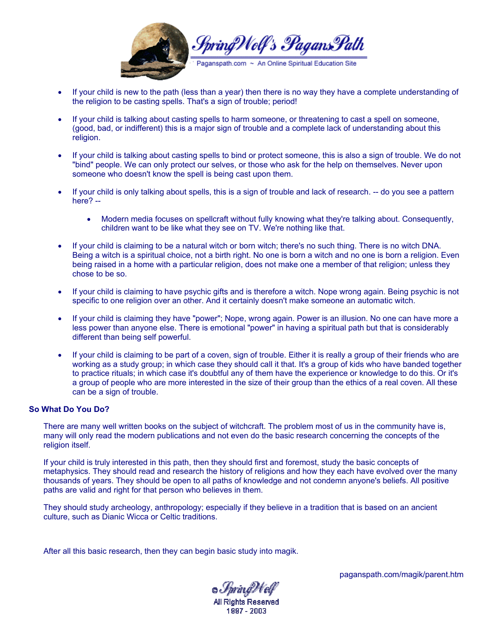

- If your child is new to the path (less than a year) then there is no way they have a complete understanding of the religion to be casting spells. That's a sign of trouble; period!
- If your child is talking about casting spells to harm someone, or threatening to cast a spell on someone, (good, bad, or indifferent) this is a major sign of trouble and a complete lack of understanding about this religion.
- If your child is talking about casting spells to bind or protect someone, this is also a sign of trouble. We do not "bind" people. We can only protect our selves, or those who ask for the help on themselves. Never upon someone who doesn't know the spell is being cast upon them.
- If your child is only talking about spells, this is a sign of trouble and lack of research. -- do you see a pattern here? --
	- Modern media focuses on spellcraft without fully knowing what they're talking about. Consequently, children want to be like what they see on TV. We're nothing like that.
- If your child is claiming to be a natural witch or born witch; there's no such thing. There is no witch DNA. Being a witch is a spiritual choice, not a birth right. No one is born a witch and no one is born a religion. Even being raised in a home with a particular religion, does not make one a member of that religion; unless they chose to be so.
- If your child is claiming to have psychic gifts and is therefore a witch. Nope wrong again. Being psychic is not specific to one religion over an other. And it certainly doesn't make someone an automatic witch.
- If your child is claiming they have "power"; Nope, wrong again. Power is an illusion. No one can have more a less power than anyone else. There is emotional "power" in having a spiritual path but that is considerably different than being self powerful.
- If your child is claiming to be part of a coven, sign of trouble. Either it is really a group of their friends who are working as a study group; in which case they should call it that. It's a group of kids who have banded together to practice rituals; in which case it's doubtful any of them have the experience or knowledge to do this. Or it's a group of people who are more interested in the size of their group than the ethics of a real coven. All these can be a sign of trouble.

## **So What Do You Do?**

There are many well written books on the subject of witchcraft. The problem most of us in the community have is, many will only read the modern publications and not even do the basic research concerning the concepts of the religion itself.

If your child is truly interested in this path, then they should first and foremost, study the basic concepts of metaphysics. They should read and research the history of religions and how they each have evolved over the many thousands of years. They should be open to all paths of knowledge and not condemn anyone's beliefs. All positive paths are valid and right for that person who believes in them.

They should study archeology, anthropology; especially if they believe in a tradition that is based on an ancient culture, such as Dianic Wicca or Celtic traditions.

After all this basic research, then they can begin basic study into magik.

o *Spri*n*i*fWelf

**All Rights Reserved** 1997 - 2003